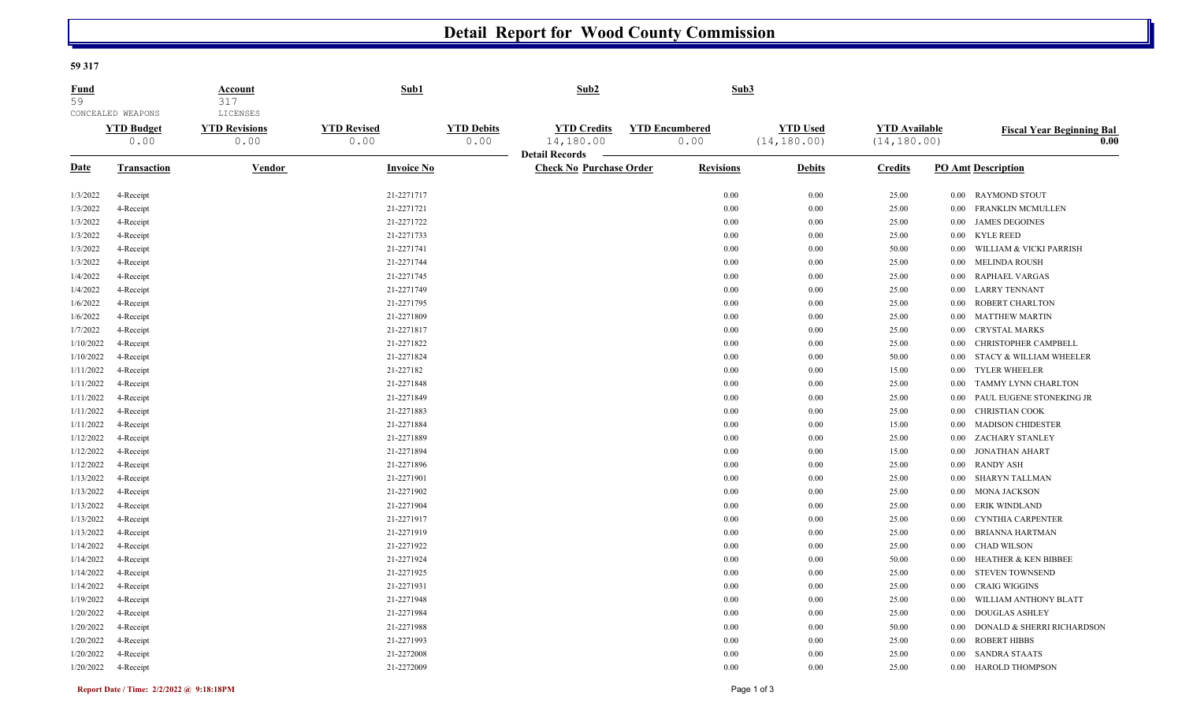## **Detail Report for Wood County Commission**

**59 317** 

| <b>Fund</b><br>59 | CONCEALED WEAPONS         | Account<br>317<br>LICENSES   | Sub1                       |                           | Sub2                                                     |                       | Sub3             |                                 |                                      |          |                                                       |
|-------------------|---------------------------|------------------------------|----------------------------|---------------------------|----------------------------------------------------------|-----------------------|------------------|---------------------------------|--------------------------------------|----------|-------------------------------------------------------|
|                   | <b>YTD Budget</b><br>0.00 | <b>YTD Revisions</b><br>0.00 | <b>YTD Revised</b><br>0.00 | <b>YTD Debits</b><br>0.00 | <b>YTD Credits</b><br>14,180.00<br><b>Detail Records</b> | <b>YTD Encumbered</b> | 0.00             | <b>YTD Used</b><br>(14, 180.00) | <b>YTD Available</b><br>(14, 180.00) |          | <b>Fiscal Year Beginning Bal</b><br>$\overline{0.00}$ |
| Date              | <b>Transaction</b>        | Vendor                       | <b>Invoice No</b>          |                           | <b>Check No Purchase Order</b>                           |                       | <b>Revisions</b> | <b>Debits</b>                   | <b>Credits</b>                       |          | <b>PO Amt Description</b>                             |
| 1/3/2022          | 4-Receipt                 |                              | 21-2271717                 |                           |                                                          |                       | 0.00             | 0.00                            | 25.00                                | $0.00\,$ | <b>RAYMOND STOUT</b>                                  |
| 1/3/2022          | 4-Receipt                 |                              | 21-2271721                 |                           |                                                          |                       | 0.00             | 0.00                            | 25.00                                | 0.00     | <b>FRANKLIN MCMULLEN</b>                              |
| 1/3/2022          | 4-Receipt                 |                              | 21-2271722                 |                           |                                                          |                       | 0.00             | 0.00                            | 25.00                                | 0.00     | <b>JAMES DEGOINES</b>                                 |
| 1/3/2022          | 4-Receipt                 |                              | 21-2271733                 |                           |                                                          |                       | 0.00             | 0.00                            | 25.00                                | 0.00     | <b>KYLE REED</b>                                      |
| 1/3/2022          | 4-Receipt                 |                              | 21-2271741                 |                           |                                                          |                       | 0.00             | 0.00                            | 50.00                                | 0.00     | WILLIAM & VICKI PARRISH                               |
| 1/3/2022          | 4-Receipt                 |                              | 21-2271744                 |                           |                                                          |                       | 0.00             | 0.00                            | 25.00                                | 0.00     | <b>MELINDA ROUSH</b>                                  |
| 1/4/2022          | 4-Receipt                 |                              | 21-2271745                 |                           |                                                          |                       | 0.00             | 0.00                            | 25.00                                | 0.00     | RAPHAEL VARGAS                                        |
| 1/4/2022          | 4-Receipt                 |                              | 21-2271749                 |                           |                                                          |                       | 0.00             | 0.00                            | 25.00                                | 0.00     | <b>LARRY TENNANT</b>                                  |
| 1/6/2022          | 4-Receipt                 |                              | 21-2271795                 |                           |                                                          |                       | 0.00             | 0.00                            | 25.00                                | 0.00     | ROBERT CHARLTON                                       |
| 1/6/2022          | 4-Receipt                 |                              | 21-2271809                 |                           |                                                          |                       | 0.00             | 0.00                            | 25.00                                | 0.00     | <b>MATTHEW MARTIN</b>                                 |
| 1/7/2022          | 4-Receipt                 |                              | 21-2271817                 |                           |                                                          |                       | 0.00             | 0.00                            | 25.00                                | 0.00     | <b>CRYSTAL MARKS</b>                                  |
| 1/10/2022         | 4-Receipt                 |                              | 21-2271822                 |                           |                                                          |                       | 0.00             | 0.00                            | 25.00                                | 0.00     | CHRISTOPHER CAMPBELL                                  |
| 1/10/2022         | 4-Receipt                 |                              | 21-2271824                 |                           |                                                          |                       | 0.00             | 0.00                            | 50.00                                | 0.00     | STACY & WILLIAM WHEELER                               |
| 1/11/2022         | 4-Receipt                 |                              | 21-227182                  |                           |                                                          |                       | 0.00             | 0.00                            | 15.00                                | 0.00     | <b>TYLER WHEELER</b>                                  |
| 1/11/2022         | 4-Receipt                 |                              | 21-2271848                 |                           |                                                          |                       | 0.00             | 0.00                            | 25.00                                | 0.00     | <b>TAMMY LYNN CHARLTON</b>                            |
| 1/11/2022         | 4-Receipt                 |                              | 21-2271849                 |                           |                                                          |                       | 0.00             | 0.00                            | 25.00                                | 0.00     | PAUL EUGENE STONEKING JR                              |
| 1/11/2022         | 4-Receipt                 |                              | 21-2271883                 |                           |                                                          |                       | 0.00             | 0.00                            | 25.00                                | 0.00     | <b>CHRISTIAN COOK</b>                                 |
| 1/11/2022         | 4-Receipt                 |                              | 21-2271884                 |                           |                                                          |                       | 0.00             | 0.00                            | 15.00                                | 0.00     | <b>MADISON CHIDESTER</b>                              |
| 1/12/2022         | 4-Receipt                 |                              | 21-2271889                 |                           |                                                          |                       | 0.00             | 0.00                            | 25.00                                | $0.00\,$ | ZACHARY STANLEY                                       |
| 1/12/2022         | 4-Receipt                 |                              | 21-2271894                 |                           |                                                          |                       | 0.00             | 0.00                            | 15.00                                | 0.00     | <b>JONATHAN AHART</b>                                 |
| 1/12/2022         | 4-Receipt                 |                              | 21-2271896                 |                           |                                                          |                       | 0.00             | 0.00                            | 25.00                                | 0.00     | <b>RANDY ASH</b>                                      |
| 1/13/2022         | 4-Receipt                 |                              | 21-2271901                 |                           |                                                          |                       | 0.00             | 0.00                            | 25.00                                | 0.00     | <b>SHARYN TALLMAN</b>                                 |
| 1/13/2022         | 4-Receipt                 |                              | 21-2271902                 |                           |                                                          |                       | 0.00             | 0.00                            | 25.00                                | 0.00     | MONA JACKSON                                          |
| 1/13/2022         | 4-Receipt                 |                              | 21-2271904                 |                           |                                                          |                       | 0.00             | 0.00                            | 25.00                                | 0.00     | <b>ERIK WINDLAND</b>                                  |
| 1/13/2022         | 4-Receipt                 |                              | 21-2271917                 |                           |                                                          |                       | 0.00             | 0.00                            | 25.00                                | 0.00     | <b>CYNTHIA CARPENTER</b>                              |
| 1/13/2022         | 4-Receipt                 |                              | 21-2271919                 |                           |                                                          |                       | 0.00             | 0.00                            | 25.00                                | 0.00     | <b>BRIANNA HARTMAN</b>                                |
| 1/14/2022         | 4-Receipt                 |                              | 21-2271922                 |                           |                                                          |                       | 0.00             | 0.00                            | 25.00                                | 0.00     | <b>CHAD WILSON</b>                                    |
| 1/14/2022         | 4-Receipt                 |                              | 21-2271924                 |                           |                                                          |                       | 0.00             | 0.00                            | 50.00                                | 0.00     | <b>HEATHER &amp; KEN BIBBEE</b>                       |
| 1/14/2022         | 4-Receipt                 |                              | 21-2271925                 |                           |                                                          |                       | 0.00             | 0.00                            | 25.00                                | 0.00     | <b>STEVEN TOWNSEND</b>                                |
| 1/14/2022         | 4-Receipt                 |                              | 21-2271931                 |                           |                                                          |                       | 0.00             | 0.00                            | 25.00                                | 0.00     | <b>CRAIG WIGGINS</b>                                  |
| 1/19/2022         | 4-Receipt                 |                              | 21-2271948                 |                           |                                                          |                       | 0.00             | 0.00                            | 25.00                                | 0.00     | WILLIAM ANTHONY BLATT                                 |
| 1/20/2022         | 4-Receipt                 |                              | 21-2271984                 |                           |                                                          |                       | 0.00             | 0.00                            | 25.00                                | 0.00     | <b>DOUGLAS ASHLEY</b>                                 |
| 1/20/2022         | 4-Receipt                 |                              | 21-2271988                 |                           |                                                          |                       | 0.00             | 0.00                            | 50.00                                | 0.00     | DONALD & SHERRI RICHARDSON                            |
| 1/20/2022         | 4-Receipt                 |                              | 21-2271993                 |                           |                                                          |                       | 0.00             | 0.00                            | 25.00                                | 0.00     | <b>ROBERT HIBBS</b>                                   |
| 1/20/2022         | 4-Receipt                 |                              | 21-2272008                 |                           |                                                          |                       | 0.00             | 0.00                            | 25.00                                | 0.00     | <b>SANDRA STAATS</b>                                  |
| 1/20/2022         | 4-Receipt                 |                              | 21-2272009                 |                           |                                                          |                       | 0.00             | 0.00                            | 25.00                                |          | 0.00 HAROLD THOMPSON                                  |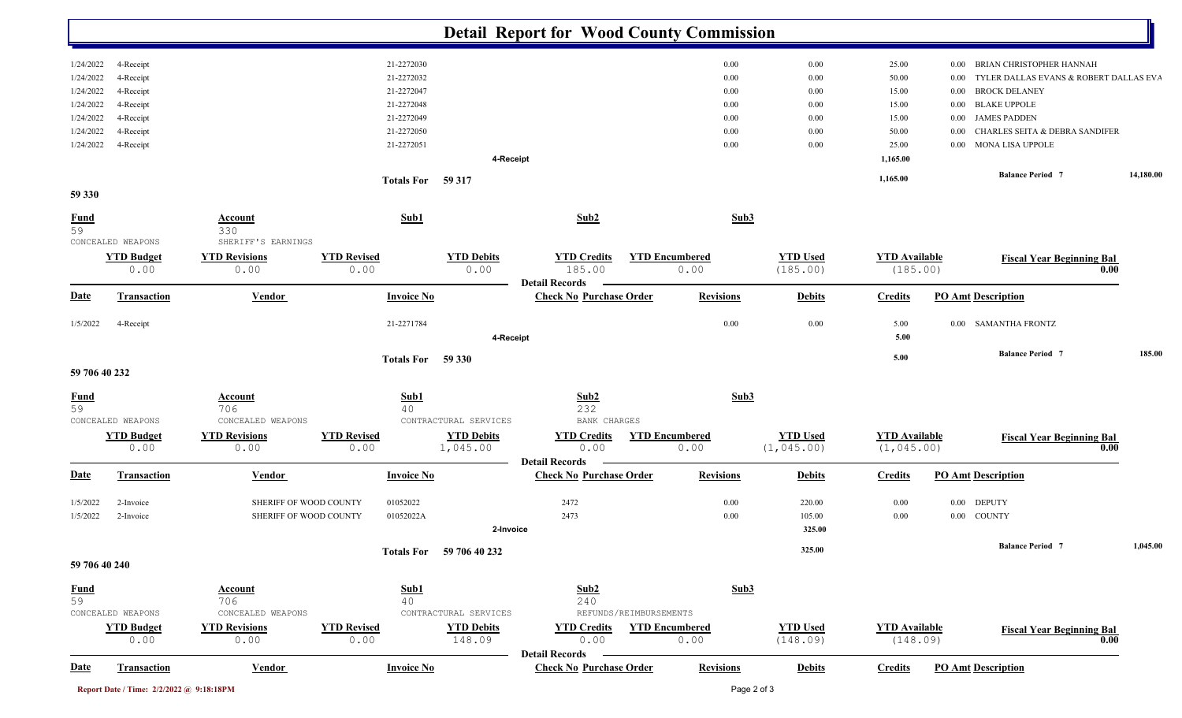|                        | <b>Detail Report for Wood County Commission</b> |                                            |                            |                               |                                                         |                               |                                |                                     |                                                    |           |  |  |
|------------------------|-------------------------------------------------|--------------------------------------------|----------------------------|-------------------------------|---------------------------------------------------------|-------------------------------|--------------------------------|-------------------------------------|----------------------------------------------------|-----------|--|--|
| 1/24/2022              | 4-Receipt                                       |                                            | 21-2272030                 |                               |                                                         | 0.00                          | 0.00                           | 25.00                               | <b>BRIAN CHRISTOPHER HANNAH</b><br>$0.00\,$        |           |  |  |
| 1/24/2022              | 4-Receipt                                       |                                            | 21-2272032                 |                               |                                                         | 0.00                          | 0.00                           | 50.00                               | TYLER DALLAS EVANS & ROBERT DALLAS EVA<br>$0.00\,$ |           |  |  |
| 1/24/2022              | 4-Receipt                                       |                                            | 21-2272047                 |                               |                                                         | 0.00                          | 0.00                           | 15.00                               | <b>BROCK DELANEY</b><br>$0.00\,$                   |           |  |  |
| 1/24/2022              | 4-Receipt                                       |                                            | 21-2272048                 |                               |                                                         | 0.00                          | 0.00                           | 15.00                               | 0.00 BLAKE UPPOLE                                  |           |  |  |
| 1/24/2022              | 4-Receipt                                       |                                            | 21-2272049                 |                               |                                                         | 0.00                          | 0.00                           | 15.00                               | 0.00 JAMES PADDEN                                  |           |  |  |
| 1/24/2022              | 4-Receipt                                       |                                            | 21-2272050                 |                               |                                                         | 0.00                          | 0.00                           | 50.00                               | 0.00 CHARLES SEITA & DEBRA SANDIFER                |           |  |  |
| 1/24/2022              | 4-Receipt                                       |                                            | 21-2272051                 |                               |                                                         | 0.00                          | 0.00                           | 25.00                               | 0.00 MONA LISA UPPOLE                              |           |  |  |
|                        |                                                 |                                            |                            | 4-Receipt                     |                                                         |                               |                                | 1,165.00                            |                                                    |           |  |  |
|                        |                                                 |                                            | Totals For 59 317          |                               |                                                         |                               |                                | 1,165.00                            | <b>Balance Period 7</b>                            | 14,180.00 |  |  |
| 59 330                 |                                                 |                                            |                            |                               |                                                         |                               |                                |                                     |                                                    |           |  |  |
| $rac{\text{Fund}}{59}$ |                                                 | Account<br>330                             | Sub1                       |                               | Sub2                                                    | Sub3                          |                                |                                     |                                                    |           |  |  |
|                        | CONCEALED WEAPONS<br><b>YTD Budget</b>          | SHERIFF'S EARNINGS<br><b>YTD Revisions</b> | <b>YTD Revised</b>         | <b>YTD Debits</b>             | <b>YTD Credits</b>                                      | <b>YTD Encumbered</b>         | <b>YTD Used</b>                | <b>YTD Available</b>                | <b>Fiscal Year Beginning Bal</b>                   |           |  |  |
|                        | 0.00                                            | 0.00                                       | 0.00                       | 0.00                          | 185.00                                                  | 0.00                          | (185.00)                       | (185.00)                            |                                                    | 0.00      |  |  |
| <u>Date</u>            | <b>Transaction</b>                              | <b>Vendor</b>                              | <b>Invoice No</b>          |                               | <b>Detail Records</b><br><b>Check No Purchase Order</b> | <b>Revisions</b>              | <b>Debits</b>                  | <b>Credits</b>                      | <b>PO Amt Description</b>                          |           |  |  |
| 1/5/2022               | 4-Receipt                                       |                                            | 21-2271784                 |                               |                                                         | 0.00                          | 0.00                           | 5.00                                | 0.00 SAMANTHA FRONTZ                               |           |  |  |
|                        |                                                 |                                            |                            | 4-Receipt                     |                                                         |                               |                                | 5.00                                |                                                    |           |  |  |
|                        |                                                 |                                            | Totals For 59 330          |                               |                                                         |                               |                                | 5.00                                | <b>Balance Period 7</b>                            | 185.00    |  |  |
| 59 706 40 232          |                                                 |                                            |                            |                               |                                                         |                               |                                |                                     |                                                    |           |  |  |
| <u>Fund</u>            |                                                 | <b>Account</b>                             | Sub1                       |                               | Sub2                                                    | Sub3                          |                                |                                     |                                                    |           |  |  |
| 59                     | CONCEALED WEAPONS                               | 706<br>CONCEALED WEAPONS                   | 40                         | CONTRACTURAL SERVICES         | 232<br>BANK CHARGES                                     |                               |                                |                                     |                                                    |           |  |  |
|                        |                                                 |                                            |                            |                               |                                                         |                               |                                |                                     |                                                    |           |  |  |
|                        | <b>YTD Budget</b><br>0.00                       | <b>YTD Revisions</b><br>0.00               | <b>YTD Revised</b><br>0.00 | <b>YTD Debits</b><br>1,045.00 | <b>YTD Credits</b><br>0.00                              | <b>YTD Encumbered</b><br>0.00 | <b>YTD Used</b><br>(1, 045.00) | <b>YTD</b> Available<br>(1, 045.00) | <b>Fiscal Year Beginning Bal</b>                   | 0.00      |  |  |
| Date                   | <b>Transaction</b>                              | <b>Vendor</b>                              | <b>Invoice No</b>          |                               | <b>Detail Records</b><br><b>Check No Purchase Order</b> | <b>Revisions</b>              | <b>Debits</b>                  | <b>Credits</b>                      | <b>PO Amt Description</b>                          |           |  |  |
| 1/5/2022               | 2-Invoice                                       | SHERIFF OF WOOD COUNTY                     | 01052022                   |                               | 2472                                                    | 0.00                          | 220.00                         | 0.00                                | <b>DEPUTY</b><br>$0.00\,$                          |           |  |  |
| 1/5/2022               | 2-Invoice                                       | SHERIFF OF WOOD COUNTY                     | 01052022A                  |                               | 2473                                                    | 0.00                          | 105.00                         | $0.00\,$                            | 0.00 COUNTY                                        |           |  |  |
|                        |                                                 |                                            |                            | 2-Invoice                     |                                                         |                               | 325.00                         |                                     |                                                    |           |  |  |
|                        |                                                 |                                            |                            | Totals For 59 706 40 232      |                                                         |                               | 325.00                         |                                     | <b>Balance Period 7</b>                            | 1,045.00  |  |  |
| 59 706 40 240          |                                                 |                                            |                            |                               |                                                         |                               |                                |                                     |                                                    |           |  |  |
| <b>Fund</b>            |                                                 | <b>Account</b>                             | Sub1                       |                               | Sub2                                                    | Sub3                          |                                |                                     |                                                    |           |  |  |
| 59                     |                                                 | 706                                        | 40                         |                               | 240                                                     |                               |                                |                                     |                                                    |           |  |  |
|                        | CONCEALED WEAPONS                               | CONCEALED WEAPONS                          |                            | CONTRACTURAL SERVICES         | REFUNDS/REIMBURSEMENTS                                  |                               |                                |                                     |                                                    |           |  |  |
|                        | <b>YTD Budget</b>                               | <b>YTD Revisions</b>                       | <b>YTD Revised</b>         | <b>YTD Debits</b>             | <b>YTD Credits</b>                                      | <b>YTD Encumbered</b>         | <b>YTD Used</b>                | <b>YTD</b> Available                | <b>Fiscal Year Beginning Bal</b>                   |           |  |  |
|                        | 0.00                                            | 0.00                                       | 0.00                       | 148.09                        | 0.00<br><b>Detail Records</b>                           | 0.00                          | (148.09)                       | (148.09)                            |                                                    | 0.00      |  |  |
| <b>Date</b>            | <b>Transaction</b>                              | <b>Vendor</b>                              | <b>Invoice No</b>          |                               | <b>Check No Purchase Order</b>                          | <b>Revisions</b>              | <b>Debits</b>                  | <b>Credits</b>                      | <b>PO Amt Description</b>                          |           |  |  |